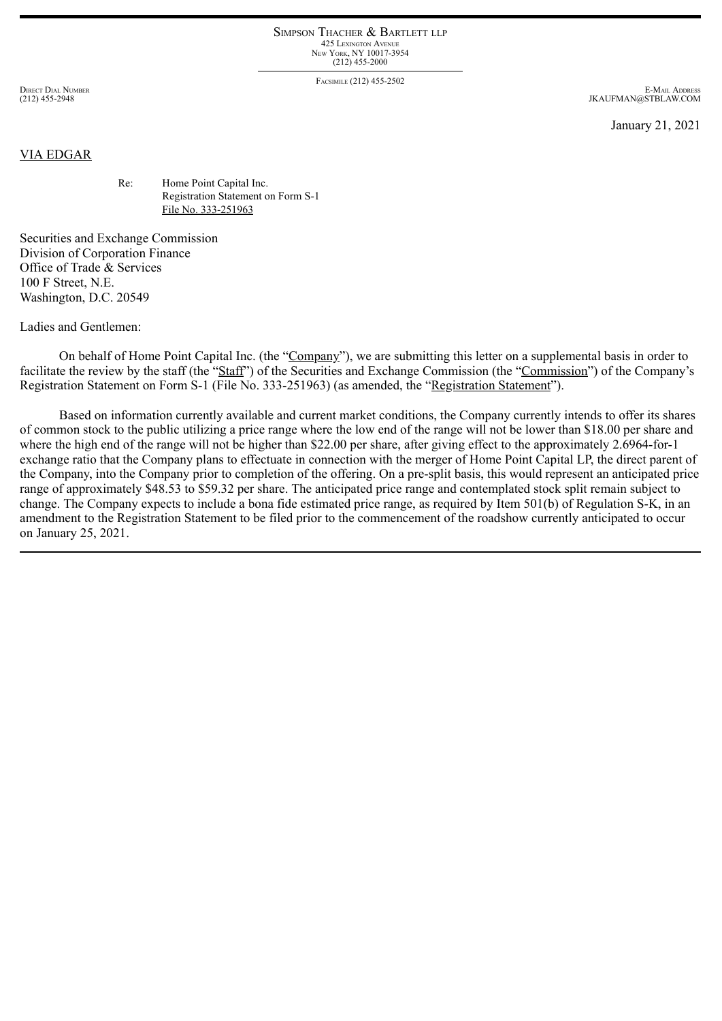## SIMPSON THACHER & BARTLETT LLP 425 LEXINGTON AVENUE NEW YORK, NY 10017-3954 (212) 455-2000

FACSIMILE (212) 455-2502

DIRECT DIAL NUMBER (212) 455-2948

E-MAIL ADDRESS JKAUFMAN@STBLAW.COM

January 21, 2021

## VIA EDGAR

Re: Home Point Capital Inc. Registration Statement on Form S-1 File No. 333-251963

Securities and Exchange Commission Division of Corporation Finance Office of Trade & Services 100 F Street, N.E. Washington, D.C. 20549

Ladies and Gentlemen:

On behalf of Home Point Capital Inc. (the "Company"), we are submitting this letter on a supplemental basis in order to facilitate the review by the staff (the "Staff") of the Securities and Exchange Commission (the "Commission") of the Company's Registration Statement on Form S-1 (File No. 333-251963) (as amended, the "Registration Statement").

Based on information currently available and current market conditions, the Company currently intends to offer its shares of common stock to the public utilizing a price range where the low end of the range will not be lower than \$18.00 per share and where the high end of the range will not be higher than \$22.00 per share, after giving effect to the approximately 2.6964-for-1 exchange ratio that the Company plans to effectuate in connection with the merger of Home Point Capital LP, the direct parent of the Company, into the Company prior to completion of the offering. On a pre-split basis, this would represent an anticipated price range of approximately \$48.53 to \$59.32 per share. The anticipated price range and contemplated stock split remain subject to change. The Company expects to include a bona fide estimated price range, as required by Item 501(b) of Regulation S-K, in an amendment to the Registration Statement to be filed prior to the commencement of the roadshow currently anticipated to occur on January 25, 2021.